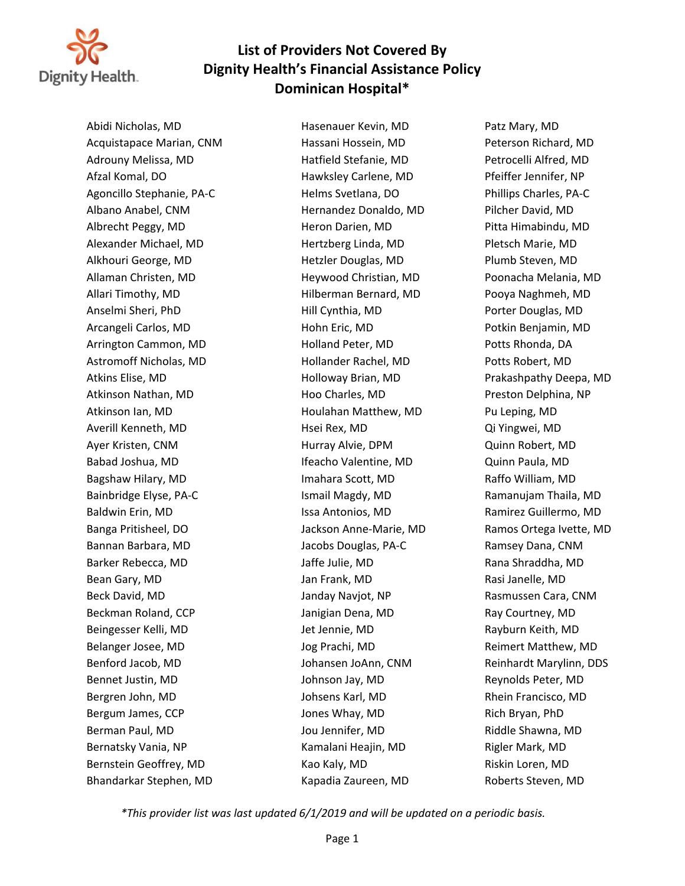

Abidi Nicholas, MD Hasenauer Kevin, MD Patz Mary, MD Acquistapace Marian, CNM Hassani Hossein, MD Peterson Richard, MD Adrouny Melissa, MD Hatfield Stefanie, MD Petrocelli Alfred, MD Afzal Komal, DO Hawksley Carlene, MD Pfeiffer Jennifer, NP Agoncillo Stephanie, PA-C Helms Svetlana, DO Phillips Charles, PA-C Albano Anabel, CNM Hernandez Donaldo, MD Pilcher David, MD Albrecht Peggy, MD Heron Darien, MD Pitta Himabindu, MD Alexander Michael, MD Hertzberg Linda, MD Pletsch Marie, MD Alkhouri George, MD Hetzler Douglas, MD Plumb Steven, MD Allaman Christen, MD Heywood Christian, MD Poonacha Melania, MD Allari Timothy, MD **hilberman Bernard, MD** Pooya Naghmeh, MD Anselmi Sheri, PhD **Anselmi Sheri, PhD** Hill Cynthia, MD Porter Douglas, MD Arcangeli Carlos, MD **Hohn Eric, MD** Hohn Eric, MD Potkin Benjamin, MD Arrington Cammon, MD Holland Peter, MD Potts Rhonda, DA Astromoff Nicholas, MD Hollander Rachel, MD Potts Robert, MD Atkins Elise, MD Holloway Brian, MD Prakashpathy Deepa, MD Atkinson Nathan, MD **Hoo Charles, MD** Preston Delphina, NP Atkinson Ian, MD **houlahan Matthew, MD** Pu Leping, MD Averill Kenneth, MD Hsei Rex, MD Qi Yingwei, MD Ayer Kristen, CNM Hurray Alvie, DPM Quinn Robert, MD Babad Joshua, MD **Ifeacho Valentine, MD** Quinn Paula, MD Bagshaw Hilary, MD **IMAhara Scott, MD** Raffo William, MD Bainbridge Elyse, PA-C **Ismail Magdy, MD** Ramanujam Thaila, MD Baldwin Erin, MD **Issa Antonios, MD** Ramirez Guillermo, MD Banga Pritisheel, DO **Sanga Ivette, MD** Jackson Anne-Marie, MD Ramos Ortega Ivette, MD Bannan Barbara, MD Jacobs Douglas, PA-C Ramsey Dana, CNM Barker Rebecca, MD Jaffe Julie, MD Rana Shraddha, MD Bean Gary, MD **South America Communist Contract Communist Communist Communist Communist Communist Communist Communist Communist Communist Communist Communist Communist Communist Communist Communist Communist Communist Comm** Beck David, MD **Sanday Naviot, NP** Rasmussen Cara, CNM Beckman Roland, CCP and Booking Janigian Dena, MD Book Ray Courtney, MD Beingesser Kelli, MD Jet Jennie, MD Rayburn Keith, MD Belanger Josee, MD **South Americ State Adden** Jog Prachi, MD **Reimert Matthew, MD** Benford Jacob, MD **Sand And Albert Johansen JoAnn, CNM** Reinhardt Marylinn, DDS Bennet Justin, MD Johnson Jay, MD Reynolds Peter, MD Bergren John, MD Johsens Karl, MD Rhein Francisco, MD Bergum James, CCP **Same COV** Jones Whay, MD Rich Bryan, PhD Berman Paul, MD Jou Jennifer, MD Riddle Shawna, MD Bernatsky Vania, NP The Realist Communication of Kamalani Heajin, MD Rigler Mark, MD Bernstein Geoffrey, MD **Kao Kaly, MD** Kao Kaly, MD Riskin Loren, MD Bhandarkar Stephen, MD Kapadia Zaureen, MD Roberts Steven, MD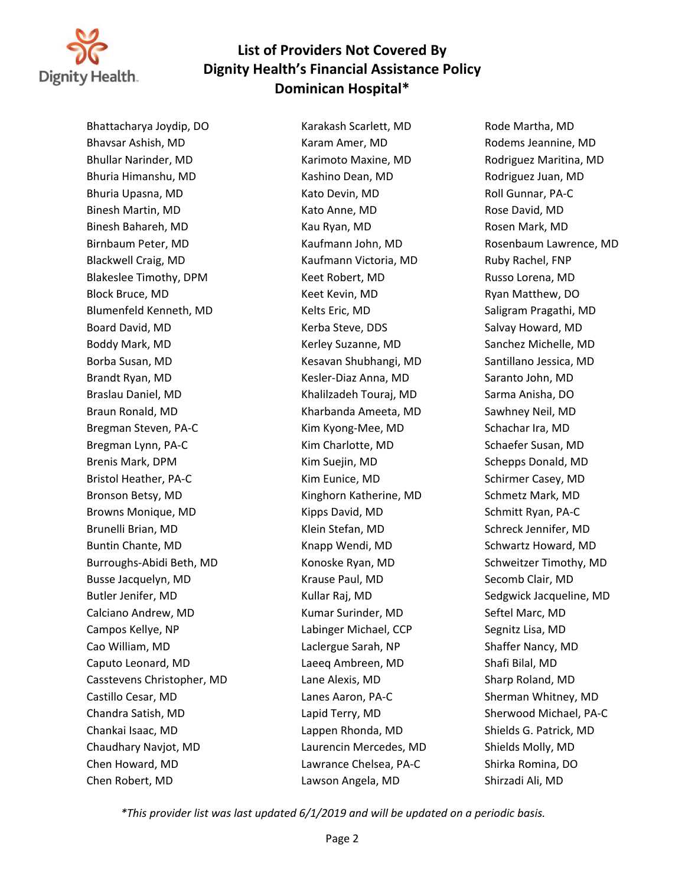

Bhattacharya Joydip, DO Karakash Scarlett, MD Rode Martha, MD Bhavsar Ashish, MD Karam Amer, MD Rodems Jeannine, MD Bhullar Narinder, MD Karimoto Maxine, MD Rodriguez Maritina, MD Bhuria Himanshu, MD Kashino Dean, MD Rodriguez Juan, MD Bhuria Upasna, MD **Kato Devin, MD** Roll Gunnar, PA-C Binesh Martin, MD Kato Anne, MD Rose David, MD Binesh Bahareh, MD Kau Ryan, MD Rosen Mark, MD Birnbaum Peter, MD Kaufmann John, MD Rosenbaum Lawrence, MD Blackwell Craig, MD Kaufmann Victoria, MD Ruby Rachel, FNP Blakeslee Timothy, DPM **Keet Robert, MD** Russo Lorena, MD Block Bruce, MD Keet Kevin, MD Ryan Matthew, DO Blumenfeld Kenneth, MD **Kelts Eric, MD** Saligram Pragathi, MD Board David, MD **Kerba Steve, DDS** Salvay Howard, MD Boddy Mark, MD Kerley Suzanne, MD Sanchez Michelle, MD Borba Susan, MD Kesavan Shubhangi, MD Santillano Jessica, MD Brandt Ryan, MD Kesler-Diaz Anna, MD Saranto John, MD Braslau Daniel, MD **Samuel Communist Communist Communist Communist Communist Communist Communist Communist Communist Communist Communist Communist Communist Communist Communist Communist Communist Communist Communist Commu** Braun Ronald, MD Kharbanda Ameeta, MD Sawhney Neil, MD Bregman Steven, PA-C Kim Kyong-Mee, MD Schachar Ira, MD Bregman Lynn, PA-C **Kim Charlotte, MD** Schaefer Susan, MD Brenis Mark, DPM **Kim Suejin, MD** Schepps Donald, MD Bristol Heather, PA-C **Kim Eunice, MD** Schirmer Casey, MD Bronson Betsy, MD **Kinghorn Katherine, MD** Schmetz Mark, MD Browns Monique, MD **Kipps David, MD** Schmitt Ryan, PA-C Brunelli Brian, MD Klein Stefan, MD Schreck Jennifer, MD Buntin Chante, MD **Schwartz Howard, MD** Knapp Wendi, MD Schwartz Howard, MD Burroughs-Abidi Beth, MD Konoske Ryan, MD Schweitzer Timothy, MD Busse Jacquelyn, MD **Krause Paul, MD** Secomb Clair, MD Butler Jenifer, MD Kullar Raj, MD Sedgwick Jacqueline, MD Calciano Andrew, MD Kumar Surinder, MD Seftel Marc, MD Campos Kellye, NP Labinger Michael, CCP Segnitz Lisa, MD Cao William, MD Laclergue Sarah, NP Shaffer Nancy, MD Caputo Leonard, MD Laeeq Ambreen, MD Shafi Bilal, MD Casstevens Christopher, MD Lane Alexis, MD Sharp Roland, MD Castillo Cesar, MD Lanes Aaron, PA-C Sherman Whitney, MD Chandra Satish, MD Lapid Terry, MD Sherwood Michael, PA-C Chankai Isaac, MD Lappen Rhonda, MD Shields G. Patrick, MD Chaudhary Navjot, MD Laurencin Mercedes, MD Shields Molly, MD Chen Howard, MD Lawrance Chelsea, PA-C Shirka Romina, DO Chen Robert, MD Lawson Angela, MD Shirzadi Ali, MD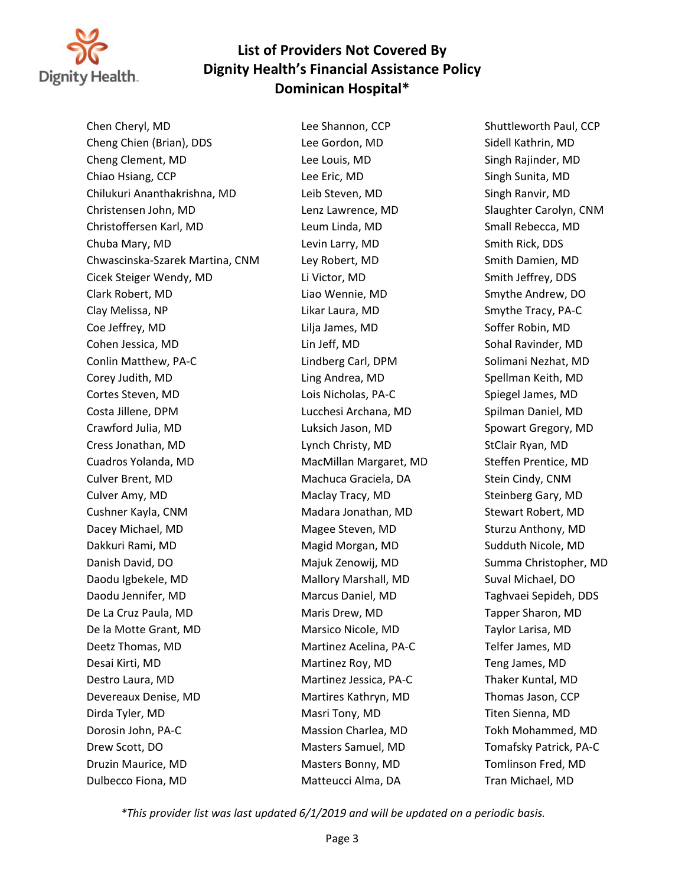

Chen Cheryl, MD Lee Shannon, CCP Shuttleworth Paul, CCP Cheng Chien (Brian), DDS Lee Gordon, MD Sidell Kathrin, MD Cheng Clement, MD Lee Louis, MD Singh Rajinder, MD Chiao Hsiang, CCP **Lee Eric, MD** Chiao Hsiang, CCP Chiao Hsiang, MD Singh Sunita, MD Chilukuri Ananthakrishna, MD Leib Steven, MD Singh Ranvir, MD Christensen John, MD Lenz Lawrence, MD Slaughter Carolyn, CNM Christoffersen Karl, MD Leum Linda, MD Small Rebecca, MD Chuba Mary, MD Levin Larry, MD Smith Rick, DDS Chwascinska-Szarek Martina, CNM Ley Robert, MD Smith Damien, MD Cicek Steiger Wendy, MD Li Victor, MD Li Victor, MD Smith Jeffrey, DDS Clark Robert, MD Liao Wennie, MD Smythe Andrew, DO Clay Melissa, NP Likar Laura, MD Smythe Tracy, PA-C Coe Jeffrey, MD Lilja James, MD Soffer Robin, MD Cohen Jessica, MD Lin Jeff, MD Sohal Ravinder, MD Conlin Matthew, PA-C Lindberg Carl, DPM Solimani Nezhat, MD Corey Judith, MD **Ling Andrea, MD** Spellman Keith, MD Cortes Steven, MD Lois Nicholas, PA-C Spiegel James, MD Costa Jillene, DPM **Lucchesi Archana, MD** Spilman Daniel, MD Crawford Julia, MD Luksich Jason, MD Spowart Gregory, MD Cress Jonathan, MD Lynch Christy, MD StClair Ryan, MD Cuadros Yolanda, MD MacMillan Margaret, MD Steffen Prentice, MD Culver Brent, MD Machuca Graciela, DA Stein Cindy, CNM Culver Amy, MD Maclay Tracy, MD Steinberg Gary, MD Cushner Kayla, CNM Madara Jonathan, MD Stewart Robert, MD Dacey Michael, MD **Magee Steven, MD** Sturzu Anthony, MD Dakkuri Rami, MD Magid Morgan, MD Sudduth Nicole, MD Danish David, DO Majuk Zenowij, MD Summa Christopher, MD Daodu Igbekele, MD **Mallory Marshall, MD** Suval Michael, DO Daodu Jennifer, MD Marcus Daniel, MD Taghvaei Sepideh, DDS De La Cruz Paula, MD Maris Drew, MD Tapper Sharon, MD De la Motte Grant, MD Marsico Nicole, MD Taylor Larisa, MD Deetz Thomas, MD Martinez Acelina, PA-C Telfer James, MD Desai Kirti, MD Martinez Roy, MD Teng James, MD Destro Laura, MD Martinez Jessica, PA-C Thaker Kuntal, MD Devereaux Denise, MD Martires Kathryn, MD Thomas Jason, CCP Dirda Tyler, MD Masri Tony, MD Titen Sienna, MD Dorosin John, PA-C **Massion Charlea, MD** Tokh Mohammed, MD Drew Scott, DO **Masters Samuel, MD** Tomafsky Patrick, PA-C Druzin Maurice, MD Masters Bonny, MD Tomlinson Fred, MD Dulbecco Fiona, MD Matteucci Alma, DA Tran Michael, MD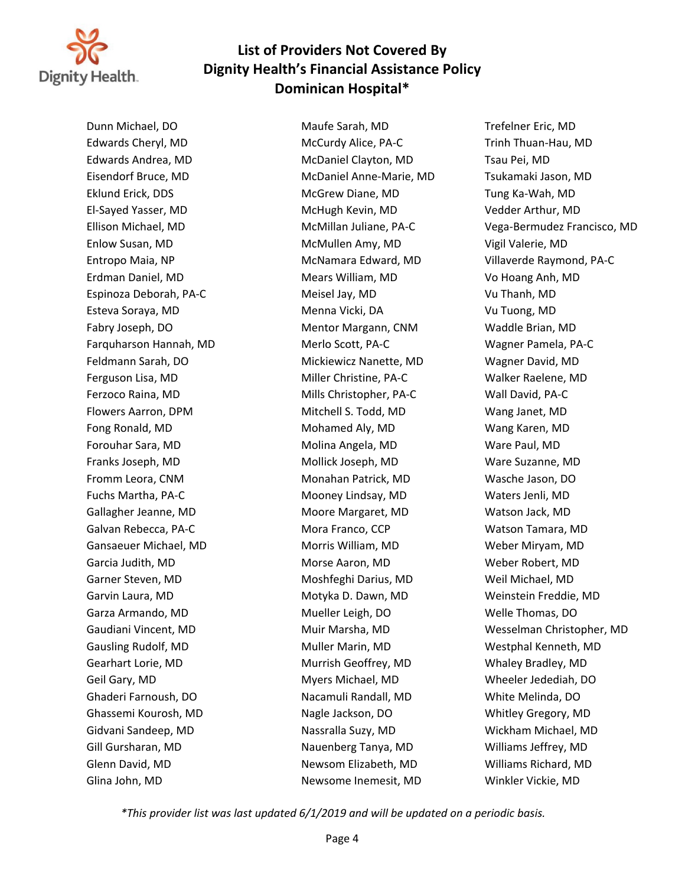

Glina John, MD Newsome Inemesit, MD Winkler Vickie, MD

Dunn Michael, DO Maufe Sarah, MD Trefelner Eric, MD Edwards Cheryl, MD McCurdy Alice, PA-C Trinh Thuan-Hau, MD Edwards Andrea, MD McDaniel Clayton, MD Tsau Pei, MD Eisendorf Bruce, MD McDaniel Anne-Marie, MD Tsukamaki Jason, MD Eklund Erick, DDS McGrew Diane, MD Tung Ka-Wah, MD El-Sayed Yasser, MD McHugh Kevin, MD Vedder Arthur, MD Enlow Susan, MD McMullen Amy, MD Vigil Valerie, MD Erdman Daniel, MD Mears William, MD Vo Hoang Anh, MD Espinoza Deborah, PA-C Meisel Jay, MD Vu Thanh, MD Esteva Soraya, MD Menna Vicki, DA Vu Tuong, MD Fabry Joseph, DO **Mentor Margann, CNM** Waddle Brian, MD Farquharson Hannah, MD Merlo Scott, PA-C Wagner Pamela, PA-C Feldmann Sarah, DO Mickiewicz Nanette, MD Wagner David, MD Ferguson Lisa, MD Miller Christine, PA-C Walker Raelene, MD Ferzoco Raina, MD Mills Christopher, PA-C Wall David, PA-C Flowers Aarron, DPM **Mitchell S. Todd, MD** Wang Janet, MD Fong Ronald, MD Mohamed Aly, MD Wang Karen, MD Forouhar Sara, MD Molina Angela, MD Ware Paul, MD Franks Joseph, MD Mollick Joseph, MD Ware Suzanne, MD Fromm Leora, CNM **Monahan Patrick, MD** Wasche Jason, DO Fuchs Martha, PA-C Mooney Lindsay, MD Waters Jenli, MD Gallagher Jeanne, MD Moore Margaret, MD Watson Jack, MD Galvan Rebecca, PA-C **Music Edge Containers** Mora Franco, CCP **Music COVID-MIN** Watson Tamara, MD Gansaeuer Michael, MD Morris William, MD Weber Miryam, MD Garcia Judith, MD Morse Aaron, MD Weber Robert, MD Garner Steven, MD Moshfeghi Darius, MD Weil Michael, MD Garvin Laura, MD Motyka D. Dawn, MD Weinstein Freddie, MD Garza Armando, MD Mueller Leigh, DO Welle Thomas, DO Gausling Rudolf, MD **Muller Marin, MD** Muller Marin, MD Westphal Kenneth, MD Gearhart Lorie, MD Murrish Geoffrey, MD Whaley Bradley, MD Geil Gary, MD Myers Michael, MD Wheeler Jedediah, DO Ghaderi Farnoush, DO Nacamuli Randall, MD White Melinda, DO Ghassemi Kourosh, MD Nagle Jackson, DO Whitley Gregory, MD Gidvani Sandeep, MD Nassralla Suzy, MD Wickham Michael, MD Gill Gursharan, MD Nauenberg Tanya, MD Williams Jeffrey, MD Glenn David, MD Newsom Elizabeth, MD Williams Richard, MD

Ellison Michael, MD McMillan Juliane, PA-C Vega-Bermudez Francisco, MD Entropo Maia, NP McNamara Edward, MD Villaverde Raymond, PA-C Gaudiani Vincent, MD Muir Marsha, MD Wesselman Christopher, MD